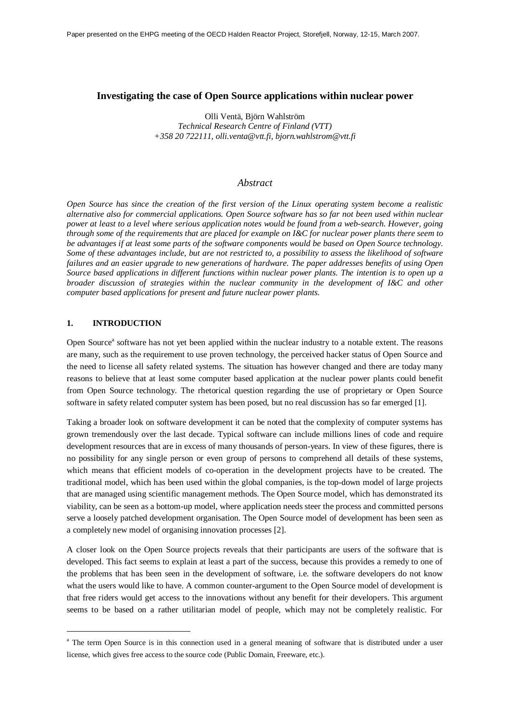#### **Investigating the case of Open Source applications within nuclear power**

Olli Ventä, Björn Wahlström *Technical Research Centre of Finland (VTT) +358 20 722111, [olli.venta@vtt.fi,](mailto:olli.venta@vtt.fi) [bjorn.wahlstrom@vtt.fi](mailto:bjorn.wahlstrom@vtt.fi)*

## *Abstract*

*Open Source has since the creation of the first version of the Linux operating system become a realistic alternative also for commercial applications. Open Source software has so far not been used within nuclear power at least to a level where serious application notes would be found from a web-search. However, going through some of the requirements that are placed for example on I&C for nuclear power plants there seem to be advantages if at least some parts of the software components would be based on Open Source technology. Some of these advantages include, but are not restricted to, a possibility to assess the likelihood of software failures and an easier upgrade to new generations of hardware. The paper addresses benefits of using Open Source based applications in different functions within nuclear power plants. The intention is to open up a broader discussion of strategies within the nuclear community in the development of I&C and other computer based applications for present and future nuclear power plants.*

## **1. INTRODUCTION**

Open Source<sup>a</sup> software has not yet been applied within the nuclear industry to a notable extent. The reasons are many, such as the requirement to use proven technology, the perceived hacker status of Open Source and the need to license all safety related systems. The situation has however changed and there are today many reasons to believe that at least some computer based application at the nuclear power plants could benefit from Open Source technology. The rhetorical question regarding the use of proprietary or Open Source software in safety related computer system has been posed, but no real discussion has so far emerged [1].

Taking a broader look on software development it can be noted that the complexity of computer systems has grown tremendously over the last decade. Typical software can include millions lines of code and require development resources that are in excess of many thousands of person-years. In view of these figures, there is no possibility for any single person or even group of persons to comprehend all details of these systems, which means that efficient models of co-operation in the development projects have to be created. The traditional model, which has been used within the global companies, is the top-down model of large projects that are managed using scientific management methods. The Open Source model, which has demonstrated its viability, can be seen as a bottom-up model, where application needs steer the process and committed persons serve a loosely patched development organisation. The Open Source model of development has been seen as a completely new model of organising innovation processes [2].

A closer look on the Open Source projects reveals that their participants are users of the software that is developed. This fact seems to explain at least a part of the success, because this provides a remedy to one of the problems that has been seen in the development of software, i.e. the software developers do not know what the users would like to have. A common counter-argument to the Open Source model of development is that free riders would get access to the innovations without any benefit for their developers. This argument seems to be based on a rather utilitarian model of people, which may not be completely realistic. For

<sup>&</sup>lt;sup>a</sup> The term Open Source is in this connection used in a general meaning of software that is distributed under a user license, which gives free access to the source code (Public Domain, Freeware, etc.).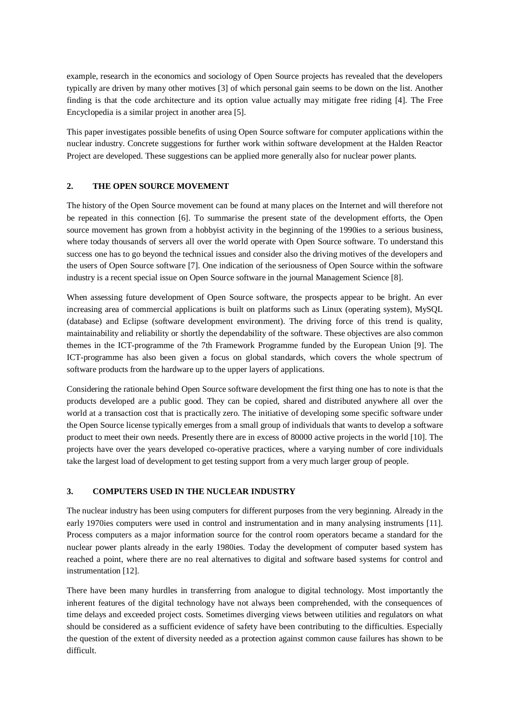example, research in the economics and sociology of Open Source projects has revealed that the developers typically are driven by many other motives [3] of which personal gain seems to be down on the list. Another finding is that the code architecture and its option value actually may mitigate free riding [4]. The Free Encyclopedia is a similar project in another area [5].

This paper investigates possible benefits of using Open Source software for computer applications within the nuclear industry. Concrete suggestions for further work within software development at the Halden Reactor Project are developed. These suggestions can be applied more generally also for nuclear power plants.

# **2. THE OPEN SOURCE MOVEMENT**

The history of the Open Source movement can be found at many places on the Internet and will therefore not be repeated in this connection [6]. To summarise the present state of the development efforts, the Open source movement has grown from a hobbyist activity in the beginning of the 1990ies to a serious business, where today thousands of servers all over the world operate with Open Source software. To understand this success one has to go beyond the technical issues and consider also the driving motives of the developers and the users of Open Source software [7]. One indication of the seriousness of Open Source within the software industry is a recent special issue on Open Source software in the journal Management Science [8].

When assessing future development of Open Source software, the prospects appear to be bright. An ever increasing area of commercial applications is built on platforms such as Linux (operating system), MySQL (database) and Eclipse (software development environment). The driving force of this trend is quality, maintainability and reliability or shortly the dependability of the software. These objectives are also common themes in the ICT-programme of the 7th Framework Programme funded by the European Union [9]. The ICT-programme has also been given a focus on global standards, which covers the whole spectrum of software products from the hardware up to the upper layers of applications.

Considering the rationale behind Open Source software development the first thing one has to note is that the products developed are a public good. They can be copied, shared and distributed anywhere all over the world at a transaction cost that is practically zero. The initiative of developing some specific software under the Open Source license typically emerges from a small group of individuals that wants to develop a software product to meet their own needs. Presently there are in excess of 80000 active projects in the world [10]. The projects have over the years developed co-operative practices, where a varying number of core individuals take the largest load of development to get testing support from a very much larger group of people.

## **3. COMPUTERS USED IN THE NUCLEAR INDUSTRY**

The nuclear industry has been using computers for different purposes from the very beginning. Already in the early 1970ies computers were used in control and instrumentation and in many analysing instruments [11]. Process computers as a major information source for the control room operators became a standard for the nuclear power plants already in the early 1980ies. Today the development of computer based system has reached a point, where there are no real alternatives to digital and software based systems for control and instrumentation [12].

There have been many hurdles in transferring from analogue to digital technology. Most importantly the inherent features of the digital technology have not always been comprehended, with the consequences of time delays and exceeded project costs. Sometimes diverging views between utilities and regulators on what should be considered as a sufficient evidence of safety have been contributing to the difficulties. Especially the question of the extent of diversity needed as a protection against common cause failures has shown to be difficult.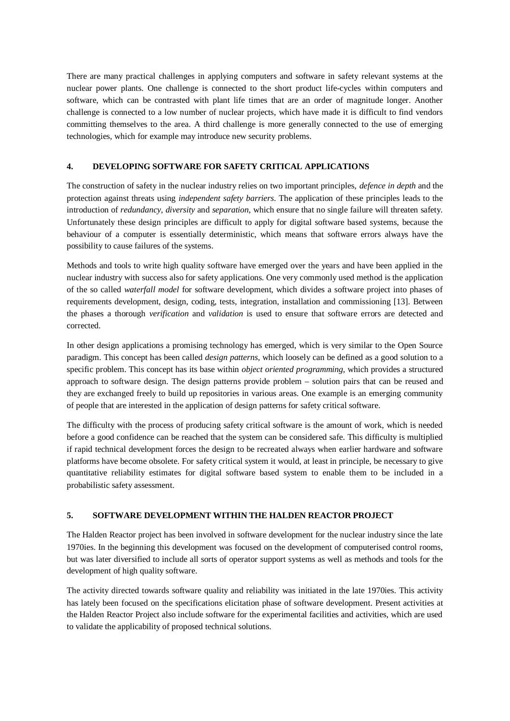There are many practical challenges in applying computers and software in safety relevant systems at the nuclear power plants. One challenge is connected to the short product life-cycles within computers and software, which can be contrasted with plant life times that are an order of magnitude longer. Another challenge is connected to a low number of nuclear projects, which have made it is difficult to find vendors committing themselves to the area. A third challenge is more generally connected to the use of emerging technologies, which for example may introduce new security problems.

## **4. DEVELOPING SOFTWARE FOR SAFETY CRITICAL APPLICATIONS**

The construction of safety in the nuclear industry relies on two important principles, *defence in depth* and the protection against threats using *independent safety barriers*. The application of these principles leads to the introduction of *redundancy*, *diversity* and *separation*, which ensure that no single failure will threaten safety. Unfortunately these design principles are difficult to apply for digital software based systems, because the behaviour of a computer is essentially deterministic, which means that software errors always have the possibility to cause failures of the systems.

Methods and tools to write high quality software have emerged over the years and have been applied in the nuclear industry with success also for safety applications. One very commonly used method is the application of the so called *waterfall model* for software development, which divides a software project into phases of requirements development, design, coding, tests, integration, installation and commissioning [13]. Between the phases a thorough *verification* and *validation* is used to ensure that software errors are detected and corrected.

In other design applications a promising technology has emerged, which is very similar to the Open Source paradigm. This concept has been called *design patterns*, which loosely can be defined as a good solution to a specific problem. This concept has its base within *object oriented programming*, which provides a structured approach to software design. The design patterns provide problem – solution pairs that can be reused and they are exchanged freely to build up repositories in various areas. One example is an emerging community of people that are interested in the application of design patterns for safety critical software.

The difficulty with the process of producing safety critical software is the amount of work, which is needed before a good confidence can be reached that the system can be considered safe. This difficulty is multiplied if rapid technical development forces the design to be recreated always when earlier hardware and software platforms have become obsolete. For safety critical system it would, at least in principle, be necessary to give quantitative reliability estimates for digital software based system to enable them to be included in a probabilistic safety assessment.

# **5. SOFTWARE DEVELOPMENT WITHIN THE HALDEN REACTOR PROJECT**

The Halden Reactor project has been involved in software development for the nuclear industry since the late 1970ies. In the beginning this development was focused on the development of computerised control rooms, but was later diversified to include all sorts of operator support systems as well as methods and tools for the development of high quality software.

The activity directed towards software quality and reliability was initiated in the late 1970ies. This activity has lately been focused on the specifications elicitation phase of software development. Present activities at the Halden Reactor Project also include software for the experimental facilities and activities, which are used to validate the applicability of proposed technical solutions.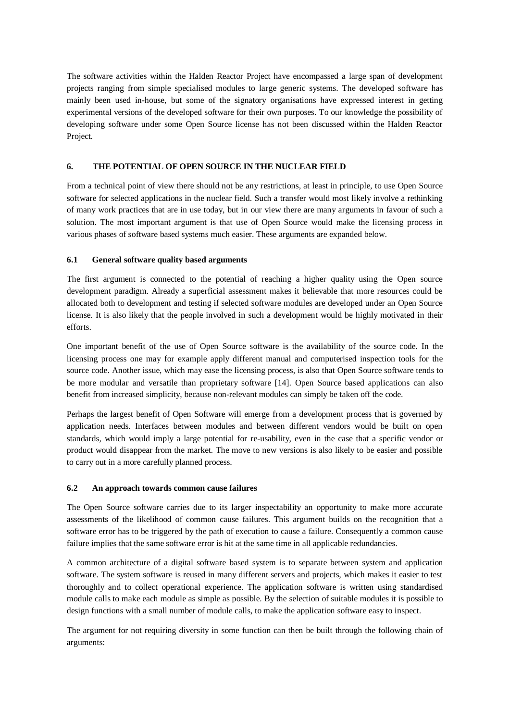The software activities within the Halden Reactor Project have encompassed a large span of development projects ranging from simple specialised modules to large generic systems. The developed software has mainly been used in-house, but some of the signatory organisations have expressed interest in getting experimental versions of the developed software for their own purposes. To our knowledge the possibility of developing software under some Open Source license has not been discussed within the Halden Reactor Project.

### **6. THE POTENTIAL OF OPEN SOURCE IN THE NUCLEAR FIELD**

From a technical point of view there should not be any restrictions, at least in principle, to use Open Source software for selected applications in the nuclear field. Such a transfer would most likely involve a rethinking of many work practices that are in use today, but in our view there are many arguments in favour of such a solution. The most important argument is that use of Open Source would make the licensing process in various phases of software based systems much easier. These arguments are expanded below.

#### **6.1 General software quality based arguments**

The first argument is connected to the potential of reaching a higher quality using the Open source development paradigm. Already a superficial assessment makes it believable that more resources could be allocated both to development and testing if selected software modules are developed under an Open Source license. It is also likely that the people involved in such a development would be highly motivated in their efforts.

One important benefit of the use of Open Source software is the availability of the source code. In the licensing process one may for example apply different manual and computerised inspection tools for the source code. Another issue, which may ease the licensing process, is also that Open Source software tends to be more modular and versatile than proprietary software [14]. Open Source based applications can also benefit from increased simplicity, because non-relevant modules can simply be taken off the code.

Perhaps the largest benefit of Open Software will emerge from a development process that is governed by application needs. Interfaces between modules and between different vendors would be built on open standards, which would imply a large potential for re-usability, even in the case that a specific vendor or product would disappear from the market. The move to new versions is also likely to be easier and possible to carry out in a more carefully planned process.

#### **6.2 An approach towards common cause failures**

The Open Source software carries due to its larger inspectability an opportunity to make more accurate assessments of the likelihood of common cause failures. This argument builds on the recognition that a software error has to be triggered by the path of execution to cause a failure. Consequently a common cause failure implies that the same software error is hit at the same time in all applicable redundancies.

A common architecture of a digital software based system is to separate between system and application software. The system software is reused in many different servers and projects, which makes it easier to test thoroughly and to collect operational experience. The application software is written using standardised module calls to make each module as simple as possible. By the selection of suitable modules it is possible to design functions with a small number of module calls, to make the application software easy to inspect.

The argument for not requiring diversity in some function can then be built through the following chain of arguments: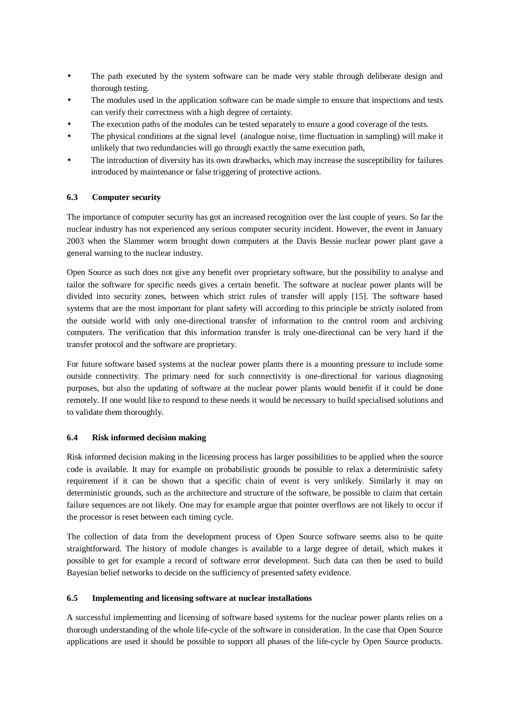- The path executed by the system software can be made very stable through deliberate design and thorough testing.
- The modules used in the application software can be made simple to ensure that inspections and tests can verify their correctness with a high degree of certainty.
- The execution paths of the modules can be tested separately to ensure a good coverage of the tests.
- The physical conditions at the signal level (analogue noise, time fluctuation in sampling) will make it unlikely that two redundancies will go through exactly the same execution path,
- The introduction of diversity has its own drawbacks, which may increase the susceptibility for failures introduced by maintenance or false triggering of protective actions.

# **6.3 Computer security**

The importance of computer security has got an increased recognition over the last couple of years. So far the nuclear industry has not experienced any serious computer security incident. However, the event in January 2003 when the Slammer worm brought down computers at the Davis Bessie nuclear power plant gave a general warning to the nuclear industry.

Open Source as such does not give any benefit over proprietary software, but the possibility to analyse and tailor the software for specific needs gives a certain benefit. The software at nuclear power plants will be divided into security zones, between which strict rules of transfer will apply [15]. The software based systems that are the most important for plant safety will according to this principle be strictly isolated from the outside world with only one-directional transfer of information to the control room and archiving computers. The verification that this information transfer is truly one-directional can be very hard if the transfer protocol and the software are proprietary.

For future software based systems at the nuclear power plants there is a mounting pressure to include some outside connectivity. The primary need for such connectivity is one-directional for various diagnosing purposes, but also the updating of software at the nuclear power plants would benefit if it could be done remotely. If one would like to respond to these needs it would be necessary to build specialised solutions and to validate them thoroughly.

#### **6.4 Risk informed decision making**

Risk informed decision making in the licensing process has larger possibilities to be applied when the source code is available. It may for example on probabilistic grounds be possible to relax a deterministic safety requirement if it can be shown that a specific chain of event is very unlikely. Similarly it may on deterministic grounds, such as the architecture and structure of the software, be possible to claim that certain failure sequences are not likely. One may for example argue that pointer overflows are not likely to occur if the processor is reset between each timing cycle.

The collection of data from the development process of Open Source software seems also to be quite straightforward. The history of module changes is available to a large degree of detail, which makes it possible to get for example a record of software error development. Such data can then be used to build Bayesian belief networks to decide on the sufficiency of presented safety evidence.

# **6.5 Implementing and licensing software at nuclear installations**

A successful implementing and licensing of software based systems for the nuclear power plants relies on a thorough understanding of the whole life-cycle of the software in consideration. In the case that Open Source applications are used it should be possible to support all phases of the life-cycle by Open Source products.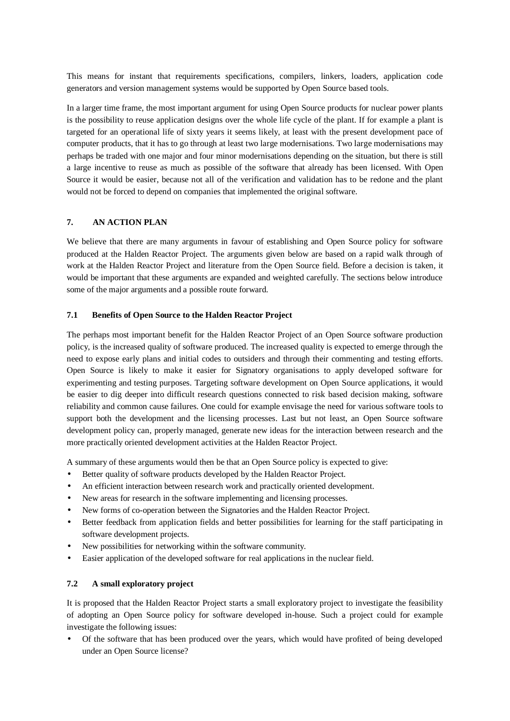This means for instant that requirements specifications, compilers, linkers, loaders, application code generators and version management systems would be supported by Open Source based tools.

In a larger time frame, the most important argument for using Open Source products for nuclear power plants is the possibility to reuse application designs over the whole life cycle of the plant. If for example a plant is targeted for an operational life of sixty years it seems likely, at least with the present development pace of computer products, that it has to go through at least two large modernisations. Two large modernisations may perhaps be traded with one major and four minor modernisations depending on the situation, but there is still a large incentive to reuse as much as possible of the software that already has been licensed. With Open Source it would be easier, because not all of the verification and validation has to be redone and the plant would not be forced to depend on companies that implemented the original software.

# **7. AN ACTION PLAN**

We believe that there are many arguments in favour of establishing and Open Source policy for software produced at the Halden Reactor Project. The arguments given below are based on a rapid walk through of work at the Halden Reactor Project and literature from the Open Source field. Before a decision is taken, it would be important that these arguments are expanded and weighted carefully. The sections below introduce some of the major arguments and a possible route forward.

### **7.1 Benefits of Open Source to the Halden Reactor Project**

The perhaps most important benefit for the Halden Reactor Project of an Open Source software production policy, is the increased quality of software produced. The increased quality is expected to emerge through the need to expose early plans and initial codes to outsiders and through their commenting and testing efforts. Open Source is likely to make it easier for Signatory organisations to apply developed software for experimenting and testing purposes. Targeting software development on Open Source applications, it would be easier to dig deeper into difficult research questions connected to risk based decision making, software reliability and common cause failures. One could for example envisage the need for various software tools to support both the development and the licensing processes. Last but not least, an Open Source software development policy can, properly managed, generate new ideas for the interaction between research and the more practically oriented development activities at the Halden Reactor Project.

A summary of these arguments would then be that an Open Source policy is expected to give:

- Better quality of software products developed by the Halden Reactor Project.
- An efficient interaction between research work and practically oriented development.
- New areas for research in the software implementing and licensing processes.
- New forms of co-operation between the Signatories and the Halden Reactor Project.
- Better feedback from application fields and better possibilities for learning for the staff participating in software development projects.
- New possibilities for networking within the software community.
- Easier application of the developed software for real applications in the nuclear field.

#### **7.2 A small exploratory project**

It is proposed that the Halden Reactor Project starts a small exploratory project to investigate the feasibility of adopting an Open Source policy for software developed in-house. Such a project could for example investigate the following issues:

• Of the software that has been produced over the years, which would have profited of being developed under an Open Source license?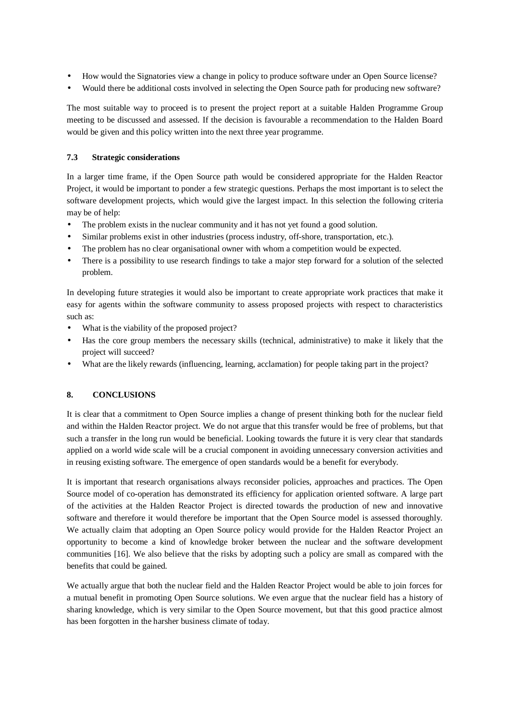- How would the Signatories view a change in policy to produce software under an Open Source license?
- Would there be additional costs involved in selecting the Open Source path for producing new software?

The most suitable way to proceed is to present the project report at a suitable Halden Programme Group meeting to be discussed and assessed. If the decision is favourable a recommendation to the Halden Board would be given and this policy written into the next three year programme.

### **7.3 Strategic considerations**

In a larger time frame, if the Open Source path would be considered appropriate for the Halden Reactor Project, it would be important to ponder a few strategic questions. Perhaps the most important is to select the software development projects, which would give the largest impact. In this selection the following criteria may be of help:

- The problem exists in the nuclear community and it has not yet found a good solution.
- Similar problems exist in other industries (process industry, off-shore, transportation, etc.).
- The problem has no clear organisational owner with whom a competition would be expected.
- There is a possibility to use research findings to take a major step forward for a solution of the selected problem.

In developing future strategies it would also be important to create appropriate work practices that make it easy for agents within the software community to assess proposed projects with respect to characteristics such as:

- What is the viability of the proposed project?
- Has the core group members the necessary skills (technical, administrative) to make it likely that the project will succeed?
- What are the likely rewards (influencing, learning, acclamation) for people taking part in the project?

# **8. CONCLUSIONS**

It is clear that a commitment to Open Source implies a change of present thinking both for the nuclear field and within the Halden Reactor project. We do not argue that this transfer would be free of problems, but that such a transfer in the long run would be beneficial. Looking towards the future it is very clear that standards applied on a world wide scale will be a crucial component in avoiding unnecessary conversion activities and in reusing existing software. The emergence of open standards would be a benefit for everybody.

It is important that research organisations always reconsider policies, approaches and practices. The Open Source model of co-operation has demonstrated its efficiency for application oriented software. A large part of the activities at the Halden Reactor Project is directed towards the production of new and innovative software and therefore it would therefore be important that the Open Source model is assessed thoroughly. We actually claim that adopting an Open Source policy would provide for the Halden Reactor Project an opportunity to become a kind of knowledge broker between the nuclear and the software development communities [16]. We also believe that the risks by adopting such a policy are small as compared with the benefits that could be gained.

We actually argue that both the nuclear field and the Halden Reactor Project would be able to join forces for a mutual benefit in promoting Open Source solutions. We even argue that the nuclear field has a history of sharing knowledge, which is very similar to the Open Source movement, but that this good practice almost has been forgotten in the harsher business climate of today.